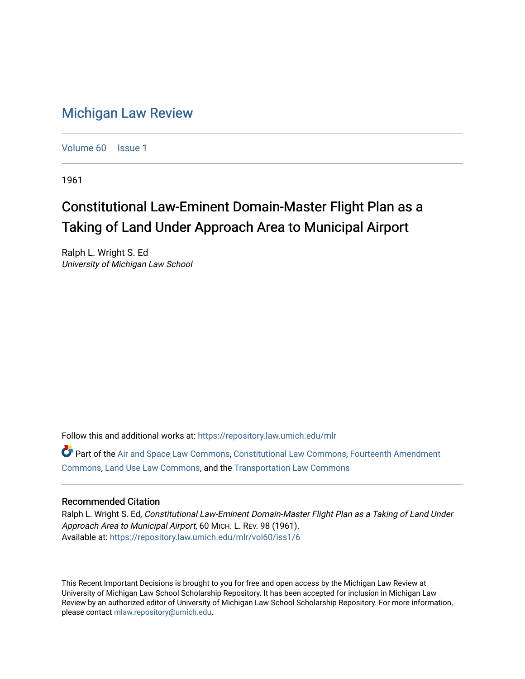## [Michigan Law Review](https://repository.law.umich.edu/mlr)

[Volume 60](https://repository.law.umich.edu/mlr/vol60) | [Issue 1](https://repository.law.umich.edu/mlr/vol60/iss1)

1961

## Constitutional Law-Eminent Domain-Master Flight Plan as a Taking of Land Under Approach Area to Municipal Airport

Ralph L. Wright S. Ed University of Michigan Law School

Follow this and additional works at: [https://repository.law.umich.edu/mlr](https://repository.law.umich.edu/mlr?utm_source=repository.law.umich.edu%2Fmlr%2Fvol60%2Fiss1%2F6&utm_medium=PDF&utm_campaign=PDFCoverPages) 

Part of the [Air and Space Law Commons](http://network.bepress.com/hgg/discipline/830?utm_source=repository.law.umich.edu%2Fmlr%2Fvol60%2Fiss1%2F6&utm_medium=PDF&utm_campaign=PDFCoverPages), [Constitutional Law Commons](http://network.bepress.com/hgg/discipline/589?utm_source=repository.law.umich.edu%2Fmlr%2Fvol60%2Fiss1%2F6&utm_medium=PDF&utm_campaign=PDFCoverPages), [Fourteenth Amendment](http://network.bepress.com/hgg/discipline/1116?utm_source=repository.law.umich.edu%2Fmlr%2Fvol60%2Fiss1%2F6&utm_medium=PDF&utm_campaign=PDFCoverPages)  [Commons](http://network.bepress.com/hgg/discipline/1116?utm_source=repository.law.umich.edu%2Fmlr%2Fvol60%2Fiss1%2F6&utm_medium=PDF&utm_campaign=PDFCoverPages), [Land Use Law Commons](http://network.bepress.com/hgg/discipline/852?utm_source=repository.law.umich.edu%2Fmlr%2Fvol60%2Fiss1%2F6&utm_medium=PDF&utm_campaign=PDFCoverPages), and the [Transportation Law Commons](http://network.bepress.com/hgg/discipline/885?utm_source=repository.law.umich.edu%2Fmlr%2Fvol60%2Fiss1%2F6&utm_medium=PDF&utm_campaign=PDFCoverPages)

## Recommended Citation

Ralph L. Wright S. Ed, Constitutional Law-Eminent Domain-Master Flight Plan as a Taking of Land Under Approach Area to Municipal Airport, 60 MICH. L. REV. 98 (1961). Available at: [https://repository.law.umich.edu/mlr/vol60/iss1/6](https://repository.law.umich.edu/mlr/vol60/iss1/6?utm_source=repository.law.umich.edu%2Fmlr%2Fvol60%2Fiss1%2F6&utm_medium=PDF&utm_campaign=PDFCoverPages)

This Recent Important Decisions is brought to you for free and open access by the Michigan Law Review at University of Michigan Law School Scholarship Repository. It has been accepted for inclusion in Michigan Law Review by an authorized editor of University of Michigan Law School Scholarship Repository. For more information, please contact [mlaw.repository@umich.edu.](mailto:mlaw.repository@umich.edu)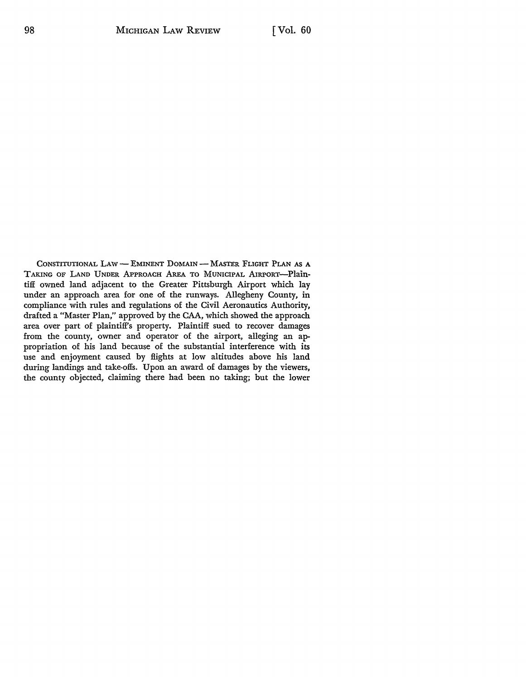CONSTITUTIONAL LAW - EMINENT DOMAIN - MASTER FLIGHT PLAN AS A TAKING OF LAND UNDER APPROACH AREA TO MUNICIPAL AIRPORT-Plaintiff owned land adjacent to the Greater Pittsburgh Airport which lay under an approach area for one of the runways. Allegheny County, in compliance with rules and regulations of the Civil Aeronautics Authority, drafted a "Master Plan," approved by the CAA, which showed the approach area over part of plaintiff's property. Plaintiff sued to recover damages from the county, owner and operator of the airport, alleging an appropriation of his land because of the substantial interference with its use and enjoyment caused by flights at low altitudes above his land during landings and take-offs. Upon an award of damages by the viewers, the county objected, claiming there had been no taking; but the lower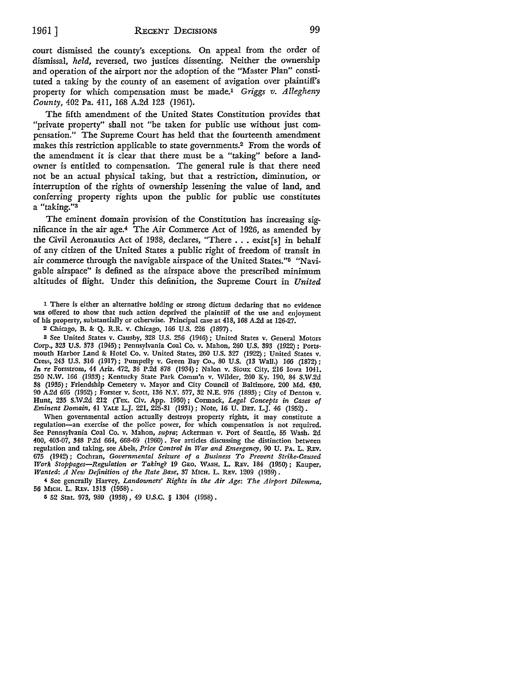court dismissed the county's exceptions. On appeal from the order of dismissal, *held,* reversed, two justices dissenting. Neither the ownership and operation of the airport nor the adoption of the "Master Plan" constituted a taking by the county of an easement of avigation over plaintiffs property for which compensation must be made.1 *Griggs v. Allegheny County,* 402 Pa. 411, 168 A.2d 123 (1961).

The fifth amendment of the United States Constitution provides that "private property" shall not "be taken for public use without just compensation." The Supreme Court has held that the fourteenth amendment makes this restriction applicable to state govemments.2 From the words of the amendment it is clear that there must be a "taking" before a landowner is entitled to compensation. The general rule is that there need not be an actual physical taking, but that a restriction, diminution, or interruption of the rights of ownership lessening the value of land, and conferring property rights upon the public for public use constitutes a "taking."<sup>3</sup>

The eminent domain provision of the Constitution has increasing significance in the air age.4 The Air Commerce Act of 1926, as amended by the Civil Aeronautics Act of 1938, declares, "There ... exist[s] in behalf of any citizen of the United States a public right of freedom of transit in air commerce through the navigable airspace of the United States.''5 "Navigable airspace" is defined as the airspace above the prescribed minimum altitudes of Hight. Under this definition, the Supreme Court in *United* 

1 There is either an alternative holding or strong dictum declaring that no evidence was offered to show that such action deprived the plaintiff of the use and enjoyment of his property, substantially or otherwise. Principal case at 418, 168 A.2d at 126-27.

2 Chicago, B. &: Q. R.R. v. Chicago, 166 U.S. 226 (1897).

3 See United States v. Causby, 328 U.S. 256 (1946); United States v. General Motors Corp., 323 U.S. 373 (1945) ; Pennsylvania Coal Co. v. Mahon, 260 U.S. 393 (1922) ; Portsmouth Harbor Land & Hotel Co. v. United States, 260 U.S. 327 (1922); United States v. Cress, 243 U.S. 316 (1917): Pumpelly v. Green Bay Co., 80 U.S. (13 Wall.) 166 (1872); *In re* Forsstrom, 44 Ariz. 472, 38 P.2d 878 (1934); Nalon v. Sioux City, 216 Iowa 1041, 250 N.W. 166 (1933); Kentucky State Park Comm'n v. Wilder, 260 Ky. 190, 84 S.W.2d 38 (1935) ; Friendship Cemetery v. Mayor and City Council of Baltimore, 200 Md. 430, 90 A.2d 695 (1952); Forster v. Scott, 136 N.Y. 577, 32 N.E. 976 (1893); City of Denton v. Hunt, 235 S.W .2d 212 (Tex. Civ. App. 1950) ; Cormack, *Legal Concepts in Cases of Eminent Domain,* 41 YALE L.J. 221, 225-31 (1931); Note, 16 U. DET. L.J. 46 (1952).

When governmental action actually destroys property rights, it may constitute a regulation-an exercise of the police power, for which compensation is not required. Sec Pennsylvania Coal Co. v. Mahon, *supra;* Ackerman v. Port of Seattle, 55 Wash. 2d 400, 403-07, 348 P.2d 664, 668-69 (1960). For articles discussing the distinction between regulation and taking, see Abels, *Price Control in War and Emergency,* 90 U. PA. L. REv. 675 (1942) ; Cochran, *Governmental Seizure of a Business To Prevent Strike-Caused Work Stoppages-Regulation or Taking?* 19 GEO. WASH. L. REv. 184 (1950); Kauper, *Wanted: A New Definition of the Rate Base, 37 MICH. L. REV. 1209 (1939).* 

-4 See generally Harvey, *Landowners' Rights in the Air Age: The Airport Dilemma,*  56 MICH. L. REv. 1313 (1958) •

5 52 Stat. 973, 980 (1938), 49 U.S.C. § 1304 (1958).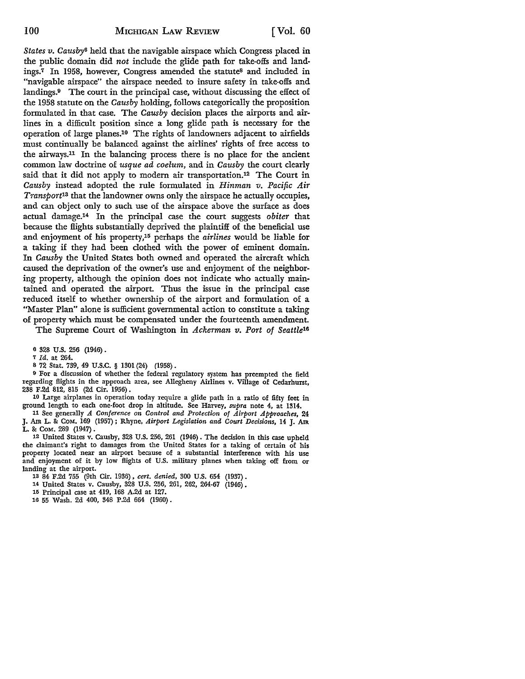States v. Causby<sup>6</sup> held that the navigable airspace which Congress placed in the public domain did *not* include the glide path for take-offs and landings.<sup>7</sup> In 1958, however, Congress amended the statute<sup>8</sup> and included in "navigable airspace" the airspace needed to insure safety in take-offs and landings.9 The court in the principal case, without discussing the effect of the 1958 statute on the *Causby* holding, follows categorically the proposition formulated in that case. The *Causby* decision places the airports and airlines in a difficult position since a long glide path is necessary for the operation of large planes.10 The rights of landowners adjacent to airfields must continually be balanced against the airlines' rights of free access to the airways.11 In the balancing process there is no place for the ancient common law doctrine of *usque ad coelum,* and in *Causby* the court clearly said that it did not apply to modem air transportation.12 The Court in *Causby* instead adopted the rule formulated in *Hinman v. Pacific Air Transport13* that the landowner owns only the airspace he actually occupies, and can object only to such use of the airspace above the surface as does actual damage.14 In the principal case the court suggests *obiter* that because the flights substantially deprived the plaintiff of the beneficial use and enjoyment of his property,15 perhaps the *airlines* would be liable for a taking if they had been clothed with the power of eminent domain. In *Causby* the United States both owned and operated the aircraft which caused the deprivation of the owner's use and enjoyment of the neighboring property, although the opinion does not indicate who actually maintained and operated the airport. Thus the issue in the principal case reduced itself to whether ownership of the airport and formulation of a "Master Plan" alone is sufficient governmental action to constitute a taking of property which must be compensated under the fourteenth amendment.

The Supreme Court of Washington in *Ackerman v. Port of Seattle16* 

6 328 U.S. 256 (1946).

*1 Id.* at 264.

8 72 Stat. 739, 49 U.S.C. § 1301 (24) (1958).

9 For a discussion of whether the federal regulatory system has preempted the field regarding flights in the approach area, see Allegheny Airlines v. Village of Cedarhurst, 238 F.2d 812, 815 (2d Cir. 1956) .

10 Large airplanes in operation today require a glide path in a ratio of fifty feet in ground length to each one-foot drop in altitude. See Harvey, *supra* note 4, at 1314.

11 See generally *A Conference on Control and Protection of Airport Approaches,* 24 J. Am L. &: CoM. 169 (1957); Rhyne, *Airport Legislation and Court Decisions,* 14 J. Am L. & COM. 289 (1947).

12 United States v. Causby, 328 U.S. 256, 261 (1946). The decision in this case upheld the claimant's right to damages from the United States for a taking of certain of his property located near an airport because of a substantial interference with his use and enjoyment of it by low flights of U.S. military planes when taking off from or landing at the airport.

13 84 F.2d 755 (9th Cir. 1936), *cert. denied,* 300 U.S. 654 (1937).

14 United States v. Causby, 328 U.S. 256, 261, 262, 264-67 (1946).

15 Principal case at 419, 168 A.2d at 127.

16 55 Wash. 2d 400, 348 P.2d 664 (1960).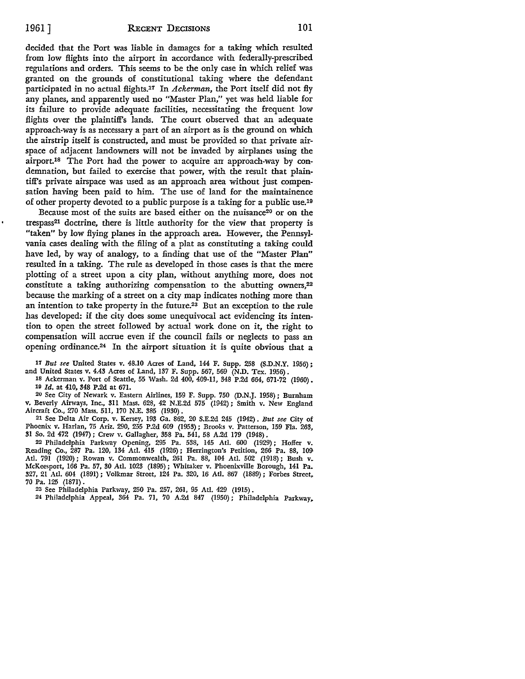decided that the Port was liable in damages for a taking which resulted from low flights into the airport in accordance with federally-prescribed regulations and orders. This seems to be the only case in which relief was granted on the grounds of constitutional taking where the defendant participated in no actual flights.<sup>17</sup> In *Ackerman*, the Port itself did not fly any planes, and apparently used no "Master Plan,'' yet was held liable for its failure to provide adequate facilities, necessitating the frequent low flights over the plaintiff's lands. The court observed that an adequate approach-way is as necessary a part of an airport as is the ground on which the airstrip itself is constructed, and must be provided so that private airspace of adjacent landowners will not be invaded by airplanes using the airport.<sup>18</sup> The Port had the power to acquire an approach-way by condemnation, but failed to exercise that power, with the result that plaintiff's private airspace was used as an approach area without just compensation having been paid to him. The use of land for the maintainence of other property devoted to a public purpose is a taking for a public use.19

Because most of the suits are based either on the nuisance<sup>20</sup> or on the trespass21 doctrine, there is little authority for the view that property is "taken" by low flying planes in the approach area. However, the Pennsylvania cases dealing with the filing of a plat as constituting a taking could have led, by way of analogy, to a finding that use of the "Master Plan" resulted in a taking. The rule as developed in those cases is that the mere plotting of a street upon a city plan, without anything more, does not constitute a taking authorizing compensation to the abutting owners,<sup>22</sup> because the marking of a street on a city map indicates nothing more than an intention to take property in the future.23 But an exception to the rule has developed: if the city does some unequivocal act evidencing its intention to open the street followed by actual work done on it, the right to compensation will accrue even if the council fails or neglects to pass an opening ordinance.24 In the airport situation it is quite obvious that a

17 *But see* United States v. 48.10 Acres of Land, 144 F. Supp. 258 (S.D.N.Y. 1956); and United States v. 4.43 Acres of Land, 137 F. Supp. 567, 569 (N.D. Tex. 1956).

18 Ackerman v. Port of Seattle, 55 Wash. 2d 400, 409-11, 348 P.2d 664, 671-72 (1960). 10 *Id.* at 410, 348 P.2d at 671.

20 See City of Newark v. Eastern Airlines, 159 F. Supp. 750 (D.N.J. 1958); Burnham v. Beverly Ainvays, Inc., 3ll Mass. 628, 42 N.E.2d 575 (1942); Smith v. New England Aircraft Co., 270 Mass. 5Il, 170 N.E. 385 (1930).

21 See Delta Air Corp. v. Kersey, 193 Ga. 862, 20 S.E.2d 245 (1942). *But see* City of Phoenix v. Harlan, 75 Ariz. 290, 255 P.2d 609 (1953); Brooks v. Patterson, 159 Fla. 263, 31 So. 2d 472 (1947); Crew v. Gallagher, 358 Pa. 541, 58 A.2d 179 (1948).

22 Philadelphia Parkway Opening, 295 Pa. 538, 145 Atl. 600 (1929); Hoffer v. Reading Co., 287 Pa. 120, 134 Atl. 415 (1926) ; Herrington's Petition, 266 Pa. 88, 109- Atl. 791 (1920); Rowan v. Commonwealth, 261 Pa. 88, 104 Atl. 502 (1918) ; Bush v. McKeesport, 166 Pa. 57, 30 Atl. 1023 (1895); Whitaker v. Phoenixville Borough, 141 Pa. 327, 21 Atl. 604 (1891) ; Volkmar Street, 124 Pa. 320, 16 Atl. 867 (1889); Forbes Street. 70 Pa. 125 (1871) .

23 See Philadelphia Parkway, 250 Pa. 257, 261, 95 Atl. 429 (1915).

24 Philadelphia Appeal, 364 Pa. 71, 70 A.2d 847 (1950); Philadelphia Parkway,